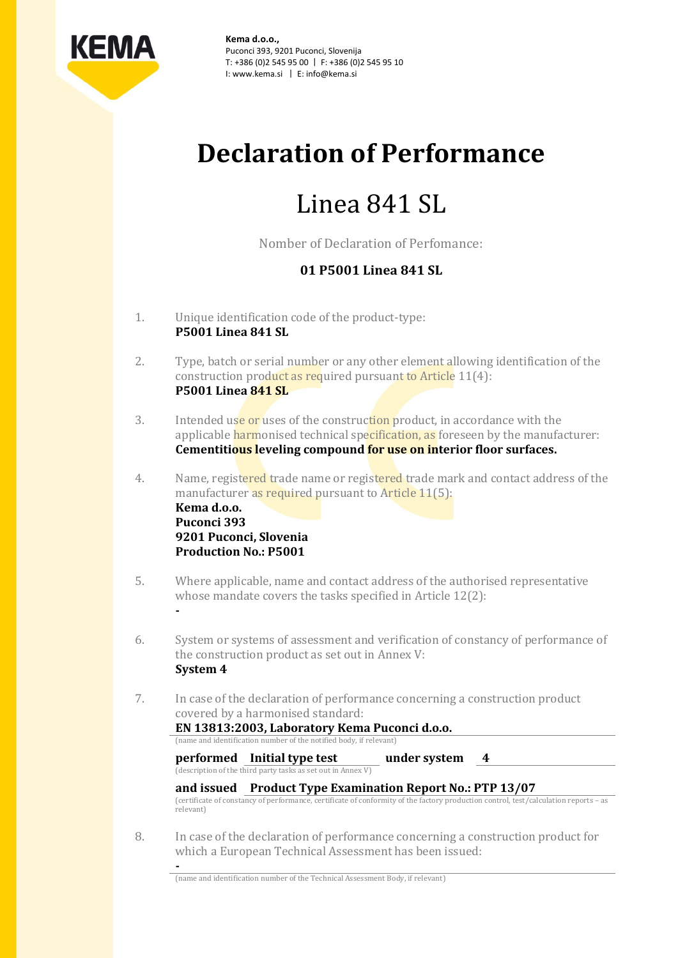

**Kema d.o.o.,** Puconci 393, 9201 Puconci, Slovenija T: +386 (0)2 545 95 00 | F: +386 (0)2 545 95 10 I: www.kema.si | E: info@kema.si

# **Declaration of Performance**

# Linea 841 SL

Nomber of Declaration of Perfomance:

### **01 P5001 Linea 841 SL**

- 1. Unique identification code of the product-type: **P5001 Linea 841 SL**
- 2. Type, batch or serial number or any other element allowing identification of the construction product as required pursuant to Article 11(4): **P5001 Linea 841 SL**
- 3. Intended use or uses of the construction product, in accordance with the applicable harmonised technical specification, as foreseen by the manufacturer: **Cementitious leveling compound for use on interior floor surfaces.**
- 4. Name, registered trade name or registered trade mark and contact address of the manufacturer as required pursuant to Article 11(5): **Kema d.o.o. Puconci 393 9201 Puconci, Slovenia Production No.: P5001**
- 5. Where applicable, name and contact address of the authorised representative whose mandate covers the tasks specified in Article 12(2):
- 6. System or systems of assessment and verification of constancy of performance of the construction product as set out in Annex V: **System 4**
- 7. In case of the declaration of performance concerning a construction product covered by a harmonised standard: **EN 13813:2003, Laboratory Kema Puconci d.o.o.**

(name and identification number of the notified body, if relevant)

**performed Initial type test under system 4**

**-**

**-**

(description of the third party tasks as set out in Annex V)

### **and issued Product Type Examination Report No.: PTP 13/07**

(certificate of constancy of performance, certificate of conformity of the factory production control, test/calculation reports – as relevant)

8. In case of the declaration of performance concerning a construction product for which a European Technical Assessment has been issued:

(name and identification number of the Technical Assessment Body, if relevant)